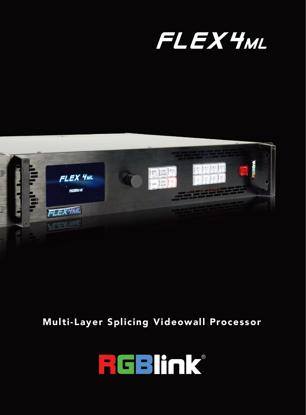



# Multi-Layer Splicing Videowall Processor

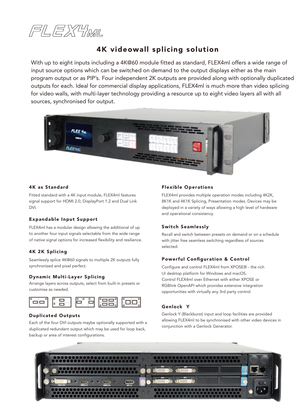

# 4K videowall splicing solution

With up to eight inputs including a 4K@60 module fitted as standard, FLEX4ml offers a wide range of input source options which can be switched on demand to the output displays either as the main program output or as PIP's. Four independent 2K outputs are provided along with optionally duplicated outputs for each. Ideal for commercial display applications, FLEX4ml is much more than video splicing for video walls, with multi-layer technology providing a resource up to eight video layers all with all sources, synchronised for output.



Fitted standard with a 4K input module, FLEX4ml features signal support for HDMI 2.0, DisplayPort 1.2 and Dual Link DVI.

#### Expandable Input Support

FLEX4ml has a modular design allowing the additional of up to another four input signals selectable from the wide range of native signal options for increased flexibility and resilience.

#### 4K 2K Splicing

Seamlessly splice 4K@60 signals to multiple 2K outputs fully synchronised and pixel perfect.

#### Dynamic Multi-Layer Splicing

Arrange layers across outputs, select from built-in presets or customise as needed.



#### Duplicated Outputs

Each of the four DVI outputs maybe optionally supported with a duplicated redundant output which may be used for loop back, backup or area of interest configurations.

#### 4K as Standard The Contract of the Standard Flexible Operations

FLEX4ml provides multiple operation modes including 4K2K, 8K1K and 4K1K Splicing, Presentation modes. Devices may be deployed in a variety of ways allowing a high level of hardware and operational consistency.

#### Switch Seamlessly

Recall and switch between presets on demand or on a schedule with jitter free seamless switching regardless of sources selected.

#### Powerful Configuration & Control

Configure and control FLEX4ml from XPOSE® - the rich UI desktop platform for Windows and macOS. Control FLEX4ml over Ethernet with either XPOSE or RGBlink OpenAPI which provides extensive integration opportunities with virtually any 3rd party control.

#### Genlock Y

Genlock Y (Blackburst) input and loop facilities are provided allowing FLEX4ml to be synchronised with other video devices in conjunction with a Genlock Generator.

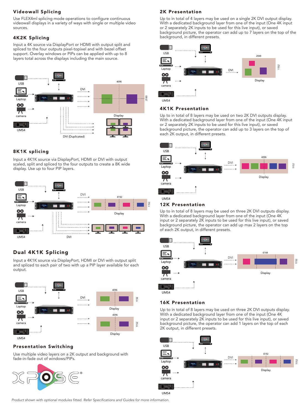#### Videowall Splicing

Use FLEX4ml splicing mode operations to configure continuous videowall displays in a variety of ways with single or multiple video sources.

#### 4K2K Splicing

Input a 4K source via DisplayPort or HDMI with output split and spliced to the four outputs pixel-topixel and with bezel offset support. Overlay windows or PIPs can be applied with up to 8 layers total across the displays including the main source.



#### 8K1K splicing

Input a 4K1K source via DisplayPort, HDMI or DVI with output scaled, split and spliced to the four outputs to create a 8K wide display. Use up to four PIP layers.



### Dual 4K1K Splicing

Input a 4K1K source via DisplayPort, HDMI or DVI with output split and spliced to each pair of two with up a PIP layer available for each output.



#### Presentation Switching

Use multiple video layers on a 2K output and background with fade-in-fade out of windows/PIPs.



#### 2K Presentation

Up to in total of 4 layers may be used on a single 2K DVI output display. With a dedicated background layer from one of the input (One 4K input or 2 separately 2K inputs to be used for this live input), or saved background picture, the operator can add up to 7 layers on the top of the background, in different presets.



#### 4K1K Presentation

Up to in total of 8 layers may be used on two 2K DVI outputs display. With a dedicated background layer from one of the input (One 4K input or 2 separately 2K inputs to be used for this live input), or saved background picture, the operator can add up to 3 layers on the top of each 2K output, in different presets.



#### 12K Presentation

Up to in total of 8 layers may be used on three 2K DVI outputs display. With a dedicated background layer from one of the input (One 4K input or 2 separately 2K inputs to be used for this live input), or saved background picture, the operator can add up max 2 layers on the top of each 2K output, in different presets.



#### 16K Presentation

Up to in total of 8 layers may be used on three 2K DVI outputs display. With a dedicated background layer from one of the input (One 4K input or 2 separately 2K inputs to be used for this live input), or saved background picture, the operator can add 1 layers on the top of each 2K output, in different presets.



*Product shown with optional modules fitted. Refer Specifications and Guides for more information.*